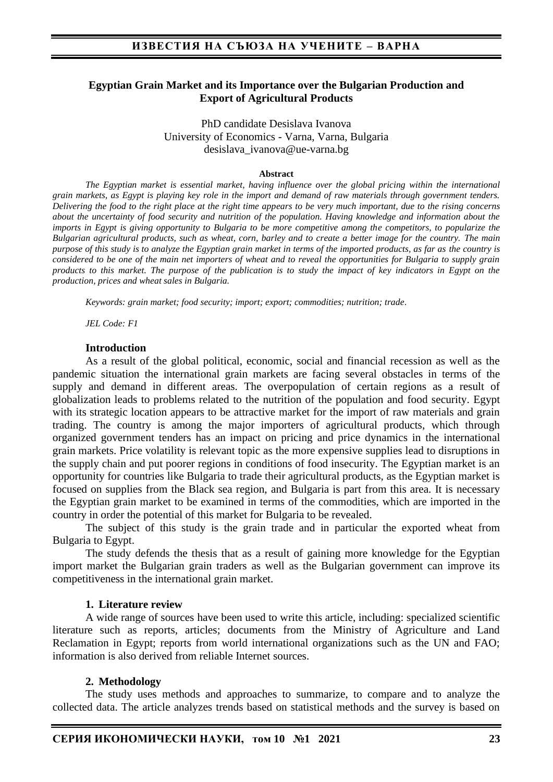## **Egyptian Grain Market and its Importance over the Bulgarian Production and Export of Agricultural Products**

PhD candidate Desislava Ivanova University of Economics - Varna, Varna, Bulgaria desislava\_ivanova@ue-varna.bg

#### **Abstract**

*The Egyptian market is essential market, having influence over the global pricing within the international grain markets, as Egypt is playing key role in the import and demand of raw materials through government tenders. Delivering the food to the right place at the right time appears to be very much important, due to the rising concerns about the uncertainty of food security and nutrition of the population. Having knowledge and information about the imports in Egypt is giving opportunity to Bulgaria to be more competitive among the competitors, to popularize the Bulgarian agricultural products, such as wheat, corn, barley and to create a better image for the country. The main purpose of this study is to analyze the Egyptian grain market in terms of the imported products, as far as the country is considered to be one of the main net importers of wheat and to reveal the opportunities for Bulgaria to supply grain products to this market. The purpose of the publication is to study the impact of key indicators in Egypt on the production, prices and wheat sales in Bulgaria.*

*Keywords: grain market; food security; import; export; commodities; nutrition; trade.* 

*JEL Code: F1*

### **Introduction**

As a result of the global political, economic, social and financial recession as well as the pandemic situation the international grain markets are facing several obstacles in terms of the supply and demand in different areas. The overpopulation of certain regions as a result of globalization leads to problems related to the nutrition of the population and food security. Egypt with its strategic location appears to be attractive market for the import of raw materials and grain trading. The country is among the major importers of agricultural products, which through organized government tenders has an impact on pricing and price dynamics in the international grain markets. Price volatility is relevant topic as the more expensive supplies lead to disruptions in the supply chain and put poorer regions in conditions of food insecurity. The Egyptian market is an opportunity for countries like Bulgaria to trade their agricultural products, as the Egyptian market is focused on supplies from the Black sea region, and Bulgaria is part from this area. It is necessary the Egyptian grain market to be examined in terms of the commodities, which are imported in the country in order the potential of this market for Bulgaria to be revealed.

The subject of this study is the grain trade and in particular the exported wheat from Bulgaria to Egypt.

The study defends the thesis that as a result of gaining more knowledge for the Egyptian import market the Bulgarian grain traders as well as the Bulgarian government can improve its competitiveness in the international grain market.

#### **1. Literature review**

A wide range of sources have been used to write this article, including: specialized scientific literature such as reports, articles; documents from the Ministry of Agriculture and Land Reclamation in Egypt; reports from world international organizations such as the UN and FAO; information is also derived from reliable Internet sources.

### **2. Methodology**

The study uses methods and approaches to summarize, to compare and to analyze the collected data. The article analyzes trends based on statistical methods and the survey is based on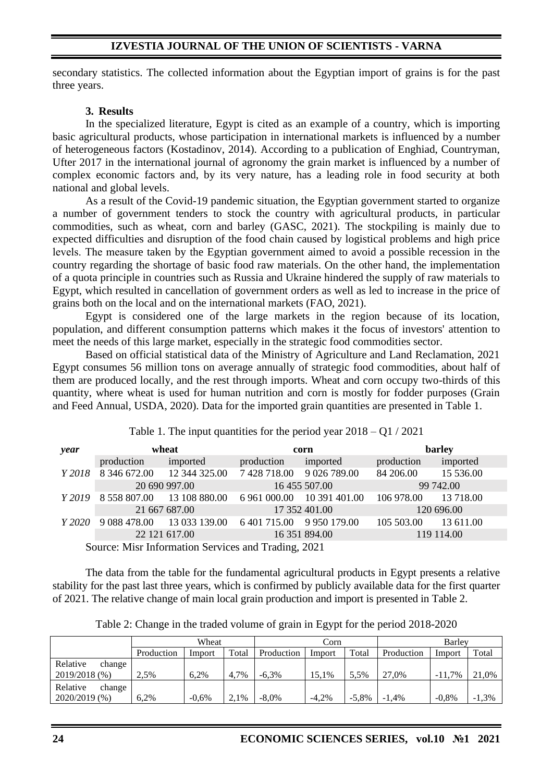## **IZVESTIA JOURNAL OF THE UNION OF SCIENTISTS - VARNA**

secondary statistics. The collected information about the Egyptian import of grains is for the past three years.

## **3. Results**

In the specialized literature, Egypt is cited as an example of a country, which is importing basic agricultural products, whose participation in international markets is influenced by a number of heterogeneous factors (Kostadinov, 2014). According to a publication of Enghiad, Countryman, Ufter 2017 in the international journal of agronomy the grain market is influenced by a number of complex economic factors and, by its very nature, has a leading role in food security at both national and global levels.

As a result of the Covid-19 pandemic situation, the Egyptian government started to organize a number of government tenders to stock the country with agricultural products, in particular commodities, such as wheat, corn and barley (GASC, 2021). The stockpiling is mainly due to expected difficulties and disruption of the food chain caused by logistical problems and high price levels. Тhe measure taken by the Egyptian government aimed to avoid a possible recession in the country regarding the shortage of basic food raw materials. On the other hand, the implementation of a quota principle in countries such as Russia and Ukraine hindered the supply of raw materials to Egypt, which resulted in cancellation of government orders as well as led to increase in the price of grains both on the local and on the international markets (FAO, 2021).

Egypt is considered one of the large markets in the region because of its location, population, and different consumption patterns which makes it the focus of investors' attention to meet the needs of this large market, especially in the strategic food commodities sector.

Based on official statistical data of the Ministry of Agriculture and Land Reclamation, 2021 Egypt consumes 56 million tons on average annually of strategic food commodities, about half of them are produced locally, and the rest through imports. Wheat and corn occupy two-thirds of this quantity, where wheat is used for human nutrition and corn is mostly for fodder purposes (Grain and Feed Annual, USDA, 2020). Data for the imported grain quantities are presented in Table 1.

| year                                                                    | wheat         |                                                              |                           | corn          | barley     |            |  |  |  |  |  |
|-------------------------------------------------------------------------|---------------|--------------------------------------------------------------|---------------------------|---------------|------------|------------|--|--|--|--|--|
|                                                                         | production    | imported                                                     | production                | imported      | production | imported   |  |  |  |  |  |
| Y 2018                                                                  |               | 8 346 672.00 12 344 325.00                                   | 7 428 718.00 9 026 789.00 |               | 84 206.00  | 15 536.00  |  |  |  |  |  |
|                                                                         | 20 690 997.00 |                                                              |                           | 16 455 507.00 | 99 742.00  |            |  |  |  |  |  |
|                                                                         |               | Y 2019 8 558 807.00 13 108 880.00 6 961 000.00 10 391 401.00 |                           |               | 106 978.00 | 13 718.00  |  |  |  |  |  |
|                                                                         | 21 667 687.00 |                                                              |                           | 17 352 401.00 | 120 696.00 |            |  |  |  |  |  |
|                                                                         |               | Y 2020 9 088 478.00 13 033 139.00 6 401 715.00 9 950 179.00  |                           |               | 105 503.00 | 13 611.00  |  |  |  |  |  |
|                                                                         |               | 22 121 617.00                                                |                           | 16 351 894.00 |            | 119 114.00 |  |  |  |  |  |
| $\Omega$ sympath Line Information $\Omega$ survives and Tue ding $2021$ |               |                                                              |                           |               |            |            |  |  |  |  |  |

Table 1. The input quantities for the period year 2018 – Q1 / 2021

Source: Misr Information Services and Trading, 2021

The data from the table for the fundamental agricultural products in Egypt presents a relative stability for the past last three years, which is confirmed by publicly available data for the first quarter of 2021. The relative change of main local grain production and import is presented in Table 2.

|                    | Wheat      |         |       | Corn       |         |         | Barley     |          |         |
|--------------------|------------|---------|-------|------------|---------|---------|------------|----------|---------|
|                    | Production | Import  | Total | Production | Import  | Total   | Production | Import   | Total   |
| Relative<br>change |            |         |       |            |         |         |            |          |         |
| 2019/2018 (%)      | $2.5\%$    | 6.2%    | 4,7%  | $-6.3\%$   | 15.1%   | 5.5%    | 27.0%      | $-11.7%$ | 21,0%   |
| Relative<br>change |            |         |       |            |         |         |            |          |         |
| 2020/2019 (%)      | 6.2%       | $-0.6%$ | 2,1%  | $-8.0\%$   | $-4.2%$ | $-5,8%$ | $-1.4\%$   | $-0.8\%$ | $-1,3%$ |

Table 2: Change in the traded volume of grain in Egypt for the period 2018-2020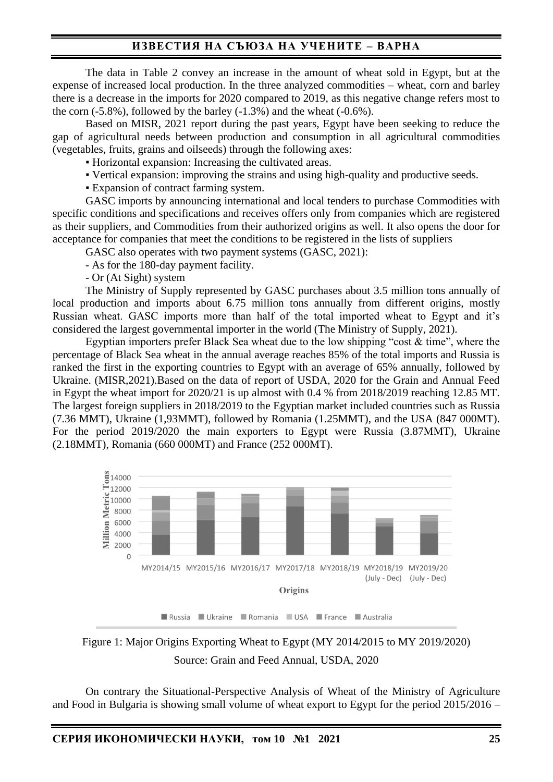# **ИЗВЕСТИЯ НА СЪЮЗА НА УЧЕНИТЕ – ВАРНА**

The data in Table 2 convey an increase in the amount of wheat sold in Egypt, but at the expense of increased local production. In the three analyzed commodities – wheat, corn and barley there is a decrease in the imports for 2020 compared to 2019, as this negative change refers most to the corn  $(-5.8\%)$ , followed by the barley  $(-1.3\%)$  and the wheat  $(-0.6\%)$ .

Based on MISR, 2021 report during the past years, Egypt have been seeking to reduce the gap of agricultural needs between production and consumption in all agricultural commodities (vegetables, fruits, grains and oilseeds) through the following axes:

▪ Horizontal expansion: Increasing the cultivated areas.

- Vertical expansion: improving the strains and using high-quality and productive seeds.
- Expansion of contract farming system.

GASC imports by announcing international and local tenders to purchase Commodities with specific conditions and specifications and receives offers only from companies which are registered as their suppliers, and Commodities from their authorized origins as well. It also opens the door for acceptance for companies that meet the conditions to be registered in the lists of suppliers

GASC also operates with two payment systems (GASC, 2021):

- As for the 180-day payment facility.

- Or (At Sight) system

The Ministry of Supply represented by GASC purchases about 3.5 million tons annually of local production and imports about 6.75 million tons annually from different origins, mostly Russian wheat. GASC imports more than half of the total imported wheat to Egypt and it's considered the largest governmental importer in the world (The Ministry of Supply, 2021).

Egyptian importers prefer Black Sea wheat due to the low shipping "cost & time", where the percentage of Black Sea wheat in the annual average reaches 85% of the total imports and Russia is ranked the first in the exporting countries to Egypt with an average of 65% annually, followed by Ukraine. (MISR,2021).Based on the data of report of USDA, 2020 for the Grain and Annual Feed in Egypt the wheat import for 2020/21 is up almost with 0.4 % from 2018/2019 reaching 12.85 MT. The largest foreign suppliers in 2018/2019 to the Egyptian market included countries such as Russia (7.36 MMT), Ukraine (1,93MMT), followed by Romania (1.25MMT), and the USA (847 000MT). For the period 2019/2020 the main exporters to Egypt were Russia (3.87MMT), Ukraine (2.18MMT), Romania (660 000MT) and France (252 000MT).



Figure 1: Major Origins Exporting Wheat to Egypt (MY 2014/2015 to MY 2019/2020) Source: Grain and Feed Annual, USDA, 2020

On contrary the Situational-Perspective Analysis of Wheat of the Ministry of Agriculture and Food in Bulgaria is showing small volume of wheat export to Egypt for the period 2015/2016 –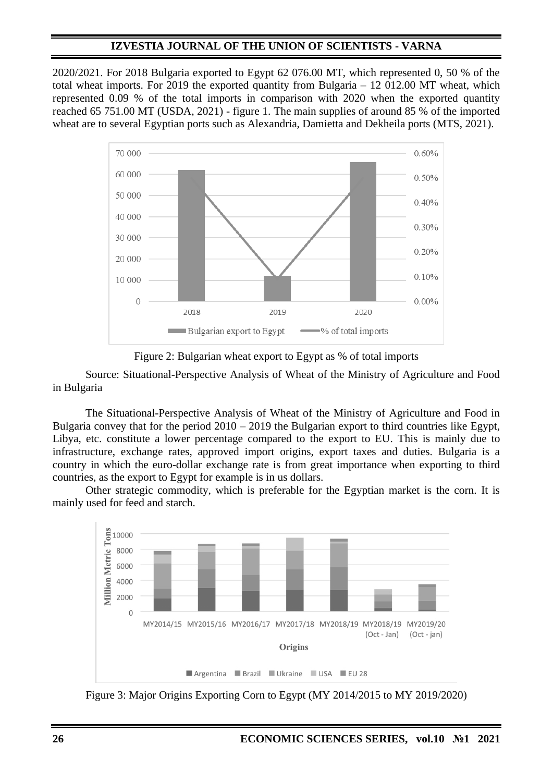# **IZVESTIA JOURNAL OF THE UNION OF SCIENTISTS - VARNA**

2020/2021. For 2018 Bulgaria exported to Egypt 62 076.00 MT, which represented 0, 50 % of the total wheat imports. For 2019 the exported quantity from Bulgaria – 12 012.00 MT wheat, which represented 0.09 % of the total imports in comparison with 2020 when the exported quantity reached 65 751.00 MT (USDA, 2021) - figure 1. The main supplies of around 85 % of the imported wheat are to several Egyptian ports such as Alexandria, Damietta and Dekheila ports (MTS, 2021).



Figure 2: Bulgarian wheat export to Egypt as % of total imports

Source: Situational-Perspective Analysis of Wheat of the Ministry of Agriculture and Food in Bulgaria

The Situational-Perspective Analysis of Wheat of the Ministry of Agriculture and Food in Bulgaria convey that for the period 2010 – 2019 the Bulgarian export to third countries like Egypt, Libya, etc. constitute a lower percentage compared to the export to EU. This is mainly due to infrastructure, exchange rates, approved import origins, export taxes and duties. Bulgaria is a country in which the euro-dollar exchange rate is from great importance when exporting to third countries, as the export to Egypt for example is in us dollars.

Other strategic commodity, which is preferable for the Egyptian market is the corn. It is mainly used for feed and starch.



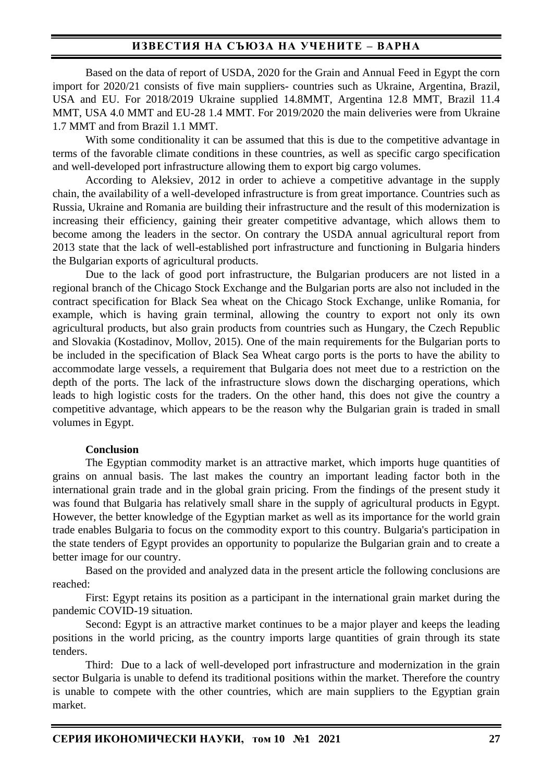## **ИЗВЕСТИЯ НА СЪЮЗА НА УЧЕНИТЕ – ВАРНА**

Based on the data of report of USDA, 2020 for the Grain and Annual Feed in Egypt the corn import for 2020/21 consists of five main suppliers- countries such as Ukraine, Argentina, Brazil, USA and EU. For 2018/2019 Ukraine supplied 14.8MMT, Argentina 12.8 MMT, Brazil 11.4 MMT, USA 4.0 MMT and EU-28 1.4 MMT. For 2019/2020 the main deliveries were from Ukraine 1.7 MMT and from Brazil 1.1 MMT.

With some conditionality it can be assumed that this is due to the competitive advantage in terms of the favorable climate conditions in these countries, as well as specific cargo specification and well-developed port infrastructure allowing them to export big cargo volumes.

According to Aleksiev, 2012 in order to achieve a competitive advantage in the supply chain, the availability of a well-developed infrastructure is from great importance. Countries such as Russia, Ukraine and Romania are building their infrastructure and the result of this modernization is increasing their efficiency, gaining their greater competitive advantage, which allows them to become among the leaders in the sector. On contrary the USDA annual agricultural report from 2013 state that the lack of well-established port infrastructure and functioning in Bulgaria hinders the Bulgarian exports of agricultural products.

Due to the lack of good port infrastructure, the Bulgarian producers are not listed in a regional branch of the Chicago Stock Exchange and the Bulgarian ports are also not included in the contract specification for Black Sea wheat on the Chicago Stock Exchange, unlike Romania, for example, which is having grain terminal, allowing the country to export not only its own agricultural products, but also grain products from countries such as Hungary, the Czech Republic and Slovakia (Kostadinov, Mollov, 2015). One of the main requirements for the Bulgarian ports to be included in the specification of Black Sea Wheat cargo ports is the ports to have the ability to accommodate large vessels, a requirement that Bulgaria does not meet due to a restriction on the depth of the ports. The lack of the infrastructure slows down the discharging operations, which leads to high logistic costs for the traders. On the other hand, this does not give the country a competitive advantage, which appears to be the reason why the Bulgarian grain is traded in small volumes in Egypt.

### **Conclusion**

The Egyptian commodity market is an attractive market, which imports huge quantities of grains on annual basis. The last makes the country an important leading factor both in the international grain trade and in the global grain pricing. From the findings of the present study it was found that Bulgaria has relatively small share in the supply of agricultural products in Egypt. However, the better knowledge of the Egyptian market as well as its importance for the world grain trade enables Bulgaria to focus on the commodity export to this country. Bulgaria's participation in the state tenders of Egypt provides an opportunity to popularize the Bulgarian grain and to create a better image for our country.

Based on the provided and analyzed data in the present article the following conclusions are reached:

First: Egypt retains its position as a participant in the international grain market during the pandemic COVID-19 situation.

Second: Egypt is an attractive market continues to be a major player and keeps the leading positions in the world pricing, as the country imports large quantities of grain through its state tenders.

Third: Due to a lack of well-developed port infrastructure and modernization in the grain sector Bulgaria is unable to defend its traditional positions within the market. Therefore the country is unable to compete with the other countries, which are main suppliers to the Egyptian grain market.